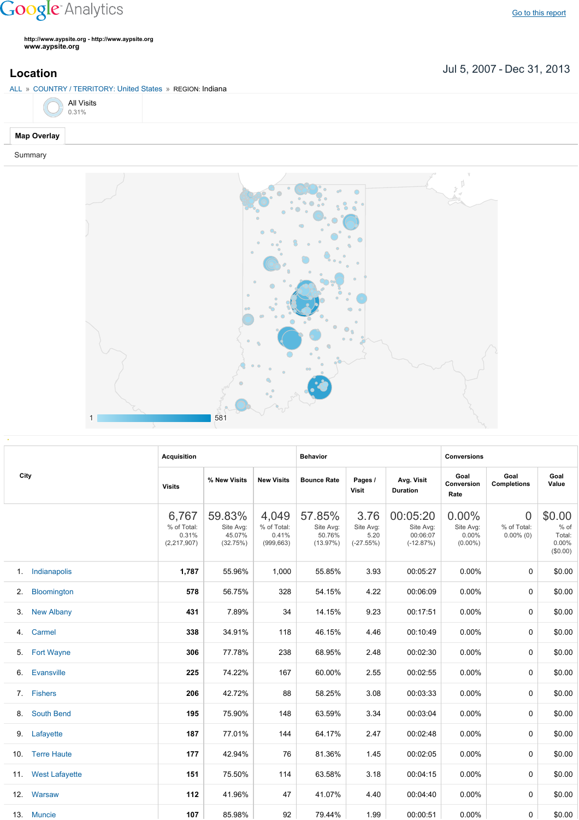# **Google** Analytics

**http://www.aypsite.org http://www.aypsite.org www.aypsite.org**

Jul 5, 2007 Dec 31, 2013 **Location**

### ALL » COUNTRY / TERRITORY: United States » REGION: Indiana

|  | All Visits<br>0.31% |
|--|---------------------|
|  |                     |

## **Map Overlay**

#### Summary



|      | <b>Acquisition</b>    |                                                                                                                                                                                                                                                                                                                                                                                                                                                                                                                                                                                                                                                                                                                                                                                                                                                                                                                                                                                                                                                                                                                                                                                                                                                                                                                                                                                                                                                                               |        | <b>Behavior</b> |        |      | <b>Conversions</b> |          |   |                                               |
|------|-----------------------|-------------------------------------------------------------------------------------------------------------------------------------------------------------------------------------------------------------------------------------------------------------------------------------------------------------------------------------------------------------------------------------------------------------------------------------------------------------------------------------------------------------------------------------------------------------------------------------------------------------------------------------------------------------------------------------------------------------------------------------------------------------------------------------------------------------------------------------------------------------------------------------------------------------------------------------------------------------------------------------------------------------------------------------------------------------------------------------------------------------------------------------------------------------------------------------------------------------------------------------------------------------------------------------------------------------------------------------------------------------------------------------------------------------------------------------------------------------------------------|--------|-----------------|--------|------|--------------------|----------|---|-----------------------------------------------|
| City |                       | Goal<br>Goal<br>Goal<br>% New Visits<br>Avg. Visit<br><b>New Visits</b><br><b>Bounce Rate</b><br>Pages /<br>Value<br>Conversion<br><b>Completions</b><br><b>Visits</b><br>Visit<br><b>Duration</b><br>Rate<br>0.00%<br>59.83%<br>57.85%<br>00:05:20<br>$\overline{0}$<br>6,767<br>4,049<br>3.76<br>% of Total:<br>% of Total:<br>Site Avg:<br>% of Total:<br>Site Avg:<br>Site Avg:<br>Site Avg:<br>Site Avg:<br>45.07%<br>50.76%<br>00:06:07<br>0.31%<br>0.41%<br>5.20<br>0.00%<br>$0.00\%$ (0)<br>(13.97%)<br>(2, 217, 907)<br>(32.75%)<br>(999, 663)<br>$(-27.55%)$<br>$(-12.87%)$<br>$(0.00\%)$<br>1,787<br>1,000<br>55.85%<br>3.93<br>00:05:27<br>0.00%<br>0<br>55.96%<br>578<br>328<br>56.75%<br>54.15%<br>4.22<br>00:06:09<br>0.00%<br>0<br>9.23<br>00:17:51<br>431<br>7.89%<br>34<br>14.15%<br>0.00%<br>0<br>338<br>34.91%<br>46.15%<br>00:10:49<br>0.00%<br>0<br>118<br>4.46<br>306<br>77.78%<br>238<br>68.95%<br>00:02:30<br>0.00%<br>2.48<br>0<br>60.00%<br>00:02:55<br>225<br>74.22%<br>167<br>2.55<br>0.00%<br>0<br>206<br>42.72%<br>88<br>58.25%<br>3.08<br>00:03:33<br>0.00%<br>0<br>195<br>75.90%<br>148<br>63.59%<br>3.34<br>00:03:04<br>$0.00\%$<br>$\mathbf 0$<br>187<br>77.01%<br>64.17%<br>00:02:48<br>0.00%<br>144<br>2.47<br>0<br>177<br>42.94%<br>76<br>81.36%<br>1.45<br>00:02:05<br>0.00%<br>0<br>151<br>75.50%<br>114<br>63.58%<br>3.18<br>00:04:15<br>0.00%<br>$\Omega$<br>112<br>41.96%<br>41.07%<br>00:04:40<br>47<br>4.40<br>0.00%<br>$\Omega$ |        |                 |        |      |                    |          |   |                                               |
|      |                       |                                                                                                                                                                                                                                                                                                                                                                                                                                                                                                                                                                                                                                                                                                                                                                                                                                                                                                                                                                                                                                                                                                                                                                                                                                                                                                                                                                                                                                                                               |        |                 |        |      |                    |          |   | \$0.00<br>% of<br>Total:<br>0.00%<br>(\$0.00) |
| 1.   | Indianapolis          |                                                                                                                                                                                                                                                                                                                                                                                                                                                                                                                                                                                                                                                                                                                                                                                                                                                                                                                                                                                                                                                                                                                                                                                                                                                                                                                                                                                                                                                                               |        |                 |        |      |                    |          |   | \$0.00                                        |
| 2.   | Bloomington           |                                                                                                                                                                                                                                                                                                                                                                                                                                                                                                                                                                                                                                                                                                                                                                                                                                                                                                                                                                                                                                                                                                                                                                                                                                                                                                                                                                                                                                                                               |        |                 |        |      |                    |          |   | \$0.00                                        |
| 3.   | <b>New Albany</b>     |                                                                                                                                                                                                                                                                                                                                                                                                                                                                                                                                                                                                                                                                                                                                                                                                                                                                                                                                                                                                                                                                                                                                                                                                                                                                                                                                                                                                                                                                               |        |                 |        |      |                    |          |   | \$0.00                                        |
| 4.   | Carmel                |                                                                                                                                                                                                                                                                                                                                                                                                                                                                                                                                                                                                                                                                                                                                                                                                                                                                                                                                                                                                                                                                                                                                                                                                                                                                                                                                                                                                                                                                               |        |                 |        |      |                    |          |   | \$0.00                                        |
| 5.   | <b>Fort Wayne</b>     |                                                                                                                                                                                                                                                                                                                                                                                                                                                                                                                                                                                                                                                                                                                                                                                                                                                                                                                                                                                                                                                                                                                                                                                                                                                                                                                                                                                                                                                                               |        |                 |        |      |                    |          |   | \$0.00                                        |
| 6.   | Evansville            |                                                                                                                                                                                                                                                                                                                                                                                                                                                                                                                                                                                                                                                                                                                                                                                                                                                                                                                                                                                                                                                                                                                                                                                                                                                                                                                                                                                                                                                                               |        |                 |        |      |                    |          |   | \$0.00                                        |
| 7.   | <b>Fishers</b>        |                                                                                                                                                                                                                                                                                                                                                                                                                                                                                                                                                                                                                                                                                                                                                                                                                                                                                                                                                                                                                                                                                                                                                                                                                                                                                                                                                                                                                                                                               |        |                 |        |      |                    |          |   | \$0.00                                        |
| 8.   | <b>South Bend</b>     |                                                                                                                                                                                                                                                                                                                                                                                                                                                                                                                                                                                                                                                                                                                                                                                                                                                                                                                                                                                                                                                                                                                                                                                                                                                                                                                                                                                                                                                                               |        |                 |        |      |                    |          |   | \$0.00                                        |
| 9.   | Lafayette             |                                                                                                                                                                                                                                                                                                                                                                                                                                                                                                                                                                                                                                                                                                                                                                                                                                                                                                                                                                                                                                                                                                                                                                                                                                                                                                                                                                                                                                                                               |        |                 |        |      |                    |          |   | \$0.00                                        |
| 10.  | <b>Terre Haute</b>    |                                                                                                                                                                                                                                                                                                                                                                                                                                                                                                                                                                                                                                                                                                                                                                                                                                                                                                                                                                                                                                                                                                                                                                                                                                                                                                                                                                                                                                                                               |        |                 |        |      |                    |          |   | \$0.00                                        |
| 11.  | <b>West Lafayette</b> |                                                                                                                                                                                                                                                                                                                                                                                                                                                                                                                                                                                                                                                                                                                                                                                                                                                                                                                                                                                                                                                                                                                                                                                                                                                                                                                                                                                                                                                                               |        |                 |        |      |                    |          |   | \$0.00                                        |
| 12.  | Warsaw                |                                                                                                                                                                                                                                                                                                                                                                                                                                                                                                                                                                                                                                                                                                                                                                                                                                                                                                                                                                                                                                                                                                                                                                                                                                                                                                                                                                                                                                                                               |        |                 |        |      |                    |          |   | \$0.00                                        |
|      | 13. Muncie            | 107                                                                                                                                                                                                                                                                                                                                                                                                                                                                                                                                                                                                                                                                                                                                                                                                                                                                                                                                                                                                                                                                                                                                                                                                                                                                                                                                                                                                                                                                           | 85.98% | 92              | 79.44% | 1.99 | 00:00:51           | $0.00\%$ | 0 | \$0.00                                        |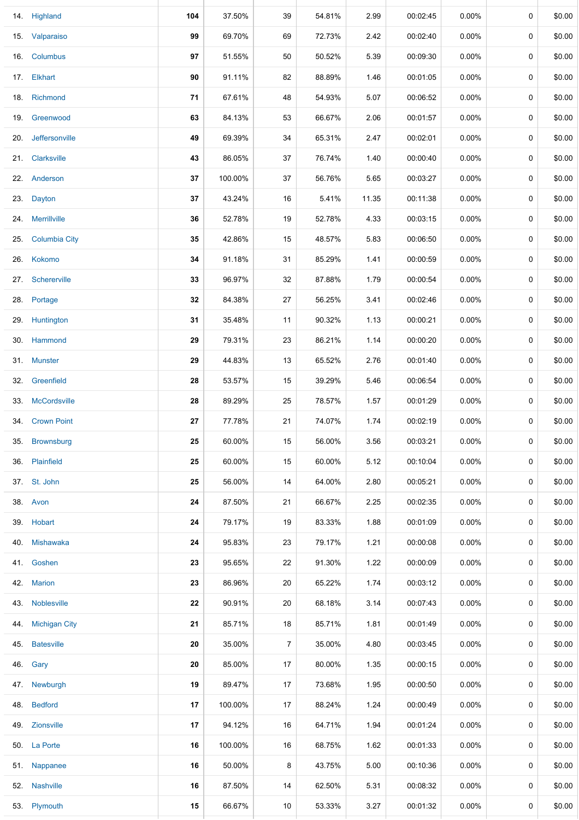|     | 14. Highland         | 104 | 37.50%  | 39             | 54.81% | 2.99  | 00:02:45 | 0.00%    | 0           | \$0.00 |
|-----|----------------------|-----|---------|----------------|--------|-------|----------|----------|-------------|--------|
|     | 15. Valparaiso       | 99  | 69.70%  | 69             | 72.73% | 2.42  | 00:02:40 | 0.00%    | 0           | \$0.00 |
|     | 16. Columbus         | 97  | 51.55%  | 50             | 50.52% | 5.39  | 00:09:30 | 0.00%    | 0           | \$0.00 |
|     | 17. Elkhart          | 90  | 91.11%  | 82             | 88.89% | 1.46  | 00:01:05 | 0.00%    | 0           | \$0.00 |
|     | 18. Richmond         | 71  | 67.61%  | 48             | 54.93% | 5.07  | 00:06:52 | 0.00%    | 0           | \$0.00 |
|     | 19. Greenwood        | 63  | 84.13%  | 53             | 66.67% | 2.06  | 00:01:57 | $0.00\%$ | 0           | \$0.00 |
|     | 20. Jeffersonville   | 49  | 69.39%  | 34             | 65.31% | 2.47  | 00:02:01 | $0.00\%$ | 0           | \$0.00 |
|     | 21. Clarksville      | 43  | 86.05%  | 37             | 76.74% | 1.40  | 00:00:40 | $0.00\%$ | 0           | \$0.00 |
|     | 22. Anderson         | 37  | 100.00% | 37             | 56.76% | 5.65  | 00:03:27 | $0.00\%$ | 0           | \$0.00 |
|     | 23. Dayton           | 37  | 43.24%  | 16             | 5.41%  | 11.35 | 00:11:38 | $0.00\%$ | 0           | \$0.00 |
|     | 24. Merrillville     | 36  | 52.78%  | 19             | 52.78% | 4.33  | 00:03:15 | $0.00\%$ | 0           | \$0.00 |
| 25. | <b>Columbia City</b> | 35  | 42.86%  | 15             | 48.57% | 5.83  | 00:06:50 | $0.00\%$ | 0           | \$0.00 |
|     | 26. Kokomo           | 34  | 91.18%  | 31             | 85.29% | 1.41  | 00:00:59 | $0.00\%$ | 0           | \$0.00 |
| 27. | Schererville         | 33  | 96.97%  | 32             | 87.88% | 1.79  | 00:00:54 | 0.00%    | 0           | \$0.00 |
|     | 28. Portage          | 32  | 84.38%  | 27             | 56.25% | 3.41  | 00:02:46 | 0.00%    | 0           | \$0.00 |
|     | 29. Huntington       | 31  | 35.48%  | 11             | 90.32% | 1.13  | 00:00:21 | 0.00%    | 0           | \$0.00 |
|     | 30. Hammond          | 29  | 79.31%  | 23             | 86.21% | 1.14  | 00:00:20 | 0.00%    | 0           | \$0.00 |
|     | 31. Munster          | 29  | 44.83%  | 13             | 65.52% | 2.76  | 00:01:40 | 0.00%    | 0           | \$0.00 |
| 32. | Greenfield           | 28  | 53.57%  | 15             | 39.29% | 5.46  | 00:06:54 | $0.00\%$ | 0           | \$0.00 |
|     | 33. McCordsville     | 28  | 89.29%  | 25             | 78.57% | 1.57  | 00:01:29 | 0.00%    | 0           | \$0.00 |
| 34. | <b>Crown Point</b>   | 27  | 77.78%  | 21             | 74.07% | 1.74  | 00:02:19 | $0.00\%$ | 0           | \$0.00 |
| 35. | Brownsburg           | 25  | 60.00%  | 15             | 56.00% | 3.56  | 00:03:21 | $0.00\%$ | 0           | \$0.00 |
|     | 36. Plainfield       | 25  | 60.00%  | 15             | 60.00% | 5.12  | 00:10:04 | $0.00\%$ | $\mathbf 0$ | \$0.00 |
|     | 37. St. John         | 25  | 56.00%  | 14             | 64.00% | 2.80  | 00:05:21 | $0.00\%$ | 0           | \$0.00 |
|     | 38. Avon             | 24  | 87.50%  | 21             | 66.67% | 2.25  | 00:02:35 | $0.00\%$ | 0           | \$0.00 |
|     | 39. Hobart           | 24  | 79.17%  | 19             | 83.33% | 1.88  | 00:01:09 | $0.00\%$ | 0           | \$0.00 |
|     | 40. Mishawaka        | 24  | 95.83%  | 23             | 79.17% | 1.21  | 00:00:08 | $0.00\%$ | 0           | \$0.00 |
|     | 41. Goshen           | 23  | 95.65%  | 22             | 91.30% | 1.22  | 00:00:09 | $0.00\%$ | 0           | \$0.00 |
|     | 42. Marion           | 23  | 86.96%  | 20             | 65.22% | 1.74  | 00:03:12 | 0.00%    | 0           | \$0.00 |
|     | 43. Noblesville      | 22  | 90.91%  | 20             | 68.18% | 3.14  | 00:07:43 | $0.00\%$ | 0           | \$0.00 |
|     | 44. Michigan City    | 21  | 85.71%  | 18             | 85.71% | 1.81  | 00:01:49 | 0.00%    | 0           | \$0.00 |
|     | 45. Batesville       | 20  | 35.00%  | $\overline{7}$ | 35.00% | 4.80  | 00:03:45 | 0.00%    | 0           | \$0.00 |
|     | 46. Gary             | 20  | 85.00%  | 17             | 80.00% | 1.35  | 00:00:15 | 0.00%    | 0           | \$0.00 |
|     | 47. Newburgh         | 19  | 89.47%  | 17             | 73.68% | 1.95  | 00:00:50 | 0.00%    | 0           | \$0.00 |
|     | 48. Bedford          | 17  | 100.00% | 17             | 88.24% | 1.24  | 00:00:49 | 0.00%    | 0           | \$0.00 |
|     | 49. Zionsville       | 17  | 94.12%  | 16             | 64.71% | 1.94  | 00:01:24 | 0.00%    | 0           | \$0.00 |
|     | 50. La Porte         | 16  | 100.00% | 16             | 68.75% | 1.62  | 00:01:33 | $0.00\%$ | 0           | \$0.00 |
|     | 51. Nappanee         | 16  | 50.00%  | 8              | 43.75% | 5.00  | 00:10:36 | $0.00\%$ | 0           | \$0.00 |
|     | 52. Nashville        | 16  | 87.50%  | 14             | 62.50% | 5.31  | 00:08:32 | $0.00\%$ | 0           | \$0.00 |
|     | 53. Plymouth         | 15  | 66.67%  | 10             | 53.33% | 3.27  | 00:01:32 | $0.00\%$ | 0           | \$0.00 |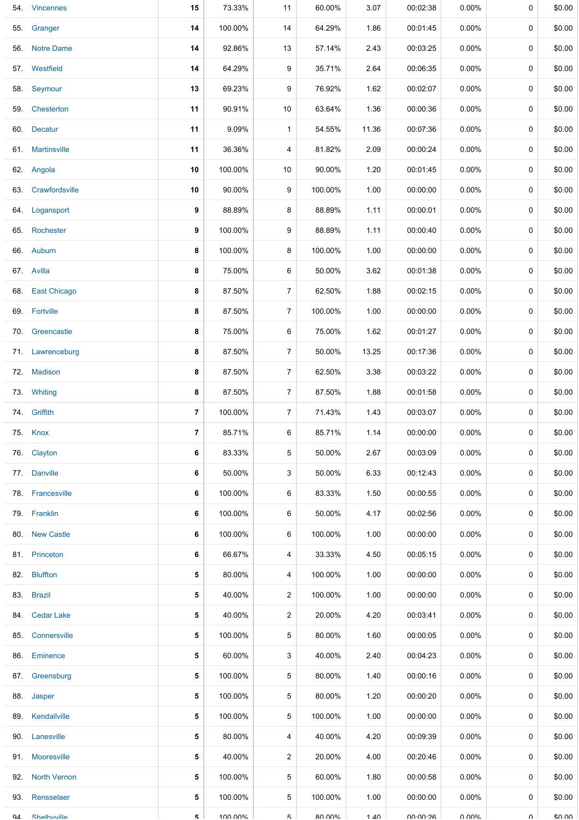|     | 54. Vincennes      | 15             | 73.33%  | 11             | 60.00%        | 3.07              | 00:02:38 | $0.00\%$ | 0        | \$0.00 |
|-----|--------------------|----------------|---------|----------------|---------------|-------------------|----------|----------|----------|--------|
| 55. | Granger            | 14             | 100.00% | 14             | 64.29%        | 1.86              | 00:01:45 | $0.00\%$ | 0        | \$0.00 |
|     | 56. Notre Dame     | 14             | 92.86%  | 13             | 57.14%        | 2.43              | 00:03:25 | $0.00\%$ | 0        | \$0.00 |
|     | 57. Westfield      | 14             | 64.29%  | 9              | 35.71%        | 2.64              | 00:06:35 | $0.00\%$ | 0        | \$0.00 |
|     | 58. Seymour        | 13             | 69.23%  | 9              | 76.92%        | 1.62              | 00:02:07 | $0.00\%$ | 0        | \$0.00 |
|     | 59. Chesterton     | 11             | 90.91%  | 10             | 63.64%        | 1.36              | 00:00:36 | $0.00\%$ | 0        | \$0.00 |
|     | 60. Decatur        | 11             | 9.09%   | $\mathbf{1}$   | 54.55%        | 11.36             | 00:07:36 | $0.00\%$ | 0        | \$0.00 |
|     | 61. Martinsville   | 11             | 36.36%  | 4              | 81.82%        | 2.09              | 00:00:24 | $0.00\%$ | 0        | \$0.00 |
|     | 62. Angola         | 10             | 100.00% | 10             | 90.00%        | 1.20              | 00:01:45 | $0.00\%$ | 0        | \$0.00 |
|     | 63. Crawfordsville | 10             | 90.00%  | 9              | 100.00%       | 1.00              | 00:00:00 | $0.00\%$ | 0        | \$0.00 |
|     | 64. Logansport     | 9              | 88.89%  | 8              | 88.89%        | 1.11              | 00:00:01 | $0.00\%$ | 0        | \$0.00 |
|     | 65. Rochester      | 9              | 100.00% | 9              | 88.89%        | 1.11              | 00:00:40 | $0.00\%$ | 0        | \$0.00 |
|     | 66. Auburn         | 8              | 100.00% | 8              | 100.00%       | 1.00              | 00:00:00 | $0.00\%$ | 0        | \$0.00 |
|     | 67. Avilla         | 8              | 75.00%  | 6              | 50.00%        | 3.62              | 00:01:38 | $0.00\%$ | 0        | \$0.00 |
|     | 68. East Chicago   | 8              | 87.50%  | $\overline{7}$ | 62.50%        | 1.88              | 00:02:15 | $0.00\%$ | 0        | \$0.00 |
|     | 69. Fortville      | 8              | 87.50%  | 7              | 100.00%       | 1.00              | 00:00:00 | 0.00%    | 0        | \$0.00 |
| 70. | Greencastle        | 8              | 75.00%  | 6              | 75.00%        | 1.62              | 00:01:27 | $0.00\%$ | 0        | \$0.00 |
|     | 71. Lawrenceburg   | 8              | 87.50%  | 7              | 50.00%        | 13.25             | 00:17:36 | $0.00\%$ | 0        | \$0.00 |
|     | 72. Madison        | 8              | 87.50%  | $\overline{7}$ | 62.50%        | 3.38              | 00:03:22 | $0.00\%$ | 0        | \$0.00 |
|     | 73. Whiting        | 8              | 87.50%  | $\overline{7}$ | 87.50%        | 1.88              | 00:01:58 | $0.00\%$ | 0        | \$0.00 |
|     | 74. Griffith       | 7              | 100.00% | $\overline{7}$ | 71.43%        | 1.43              | 00:03:07 | $0.00\%$ | 0        | \$0.00 |
|     | 75. Knox           | $\overline{7}$ | 85.71%  | 6              | 85.71%        | 1.14              | 00:00:00 | $0.00\%$ | 0        | \$0.00 |
|     | 76. Clayton        | 6              | 83.33%  | 5              | 50.00%        | 2.67              | 00:03:09 | $0.00\%$ | 0        | \$0.00 |
|     | 77. Danville       | 6              | 50.00%  | 3              | 50.00%        | 6.33              | 00:12:43 | $0.00\%$ | 0        | \$0.00 |
|     | 78. Francesville   | 6              | 100.00% | 6              | 83.33%        | 1.50              | 00:00:55 | $0.00\%$ | 0        | \$0.00 |
|     | 79. Franklin       | 6              | 100.00% | 6              | 50.00%        | 4.17              | 00:02:56 | $0.00\%$ | 0        | \$0.00 |
|     | 80. New Castle     | 6              | 100.00% | 6              | 100.00%       | 1.00              | 00:00:00 | $0.00\%$ | 0        | \$0.00 |
|     | 81. Princeton      | 6              | 66.67%  | 4              | 33.33%        | 4.50              | 00:05:15 | $0.00\%$ | 0        | \$0.00 |
|     | 82. Bluffton       | 5              | 80.00%  | 4              | 100.00%       | 1.00              | 00:00:00 | $0.00\%$ | 0        | \$0.00 |
|     | 83. Brazil         | 5              | 40.00%  | $\overline{2}$ | 100.00%       | 1.00              | 00:00:00 | $0.00\%$ | 0        | \$0.00 |
|     | 84. Cedar Lake     | 5              | 40.00%  | 2              | 20.00%        | 4.20              | 00:03:41 | $0.00\%$ | 0        | \$0.00 |
|     | 85. Connersville   | 5              | 100.00% | 5              | 80.00%        | 1.60              | 00:00:05 | $0.00\%$ | 0        | \$0.00 |
|     | 86. Eminence       | 5              | 60.00%  | 3              | 40.00%        | 2.40              | 00:04:23 | $0.00\%$ | 0        | \$0.00 |
| 87. | Greensburg         | 5              | 100.00% | 5              | 80.00%        | 1.40              | 00:00:16 | $0.00\%$ | 0        | \$0.00 |
|     | 88. Jasper         | 5              | 100.00% | 5              | 80.00%        | 1.20              | 00:00:20 | $0.00\%$ | 0        | \$0.00 |
|     | 89. Kendallville   | 5              | 100.00% | 5              | 100.00%       | 1.00              | 00:00:00 | $0.00\%$ | 0        | \$0.00 |
|     | 90. Lanesville     | 5              | 80.00%  | 4              | 40.00%        | 4.20              | 00:09:39 | $0.00\%$ | 0        | \$0.00 |
|     | 91. Mooresville    | 5              | 40.00%  | $\overline{2}$ | 20.00%        | 4.00              | 00:20:46 | $0.00\%$ | 0        | \$0.00 |
|     | 92. North Vernon   | 5              | 100.00% | 5              | 60.00%        | 1.80              | 00:00:58 | $0.00\%$ | 0        | \$0.00 |
|     | 93. Rensselaer     | 5              | 100.00% | 5              | 100.00%       | 1.00              | 00:00:00 | $0.00\%$ | $\Omega$ | \$0.00 |
| QΔ  | Shelhwille         | 5              | 100 00% | 5              | <b>80 UUN</b> | $1 \Delta \Omega$ | 00:00:26 | ለ በበ%    | U        | ደበ በበ  |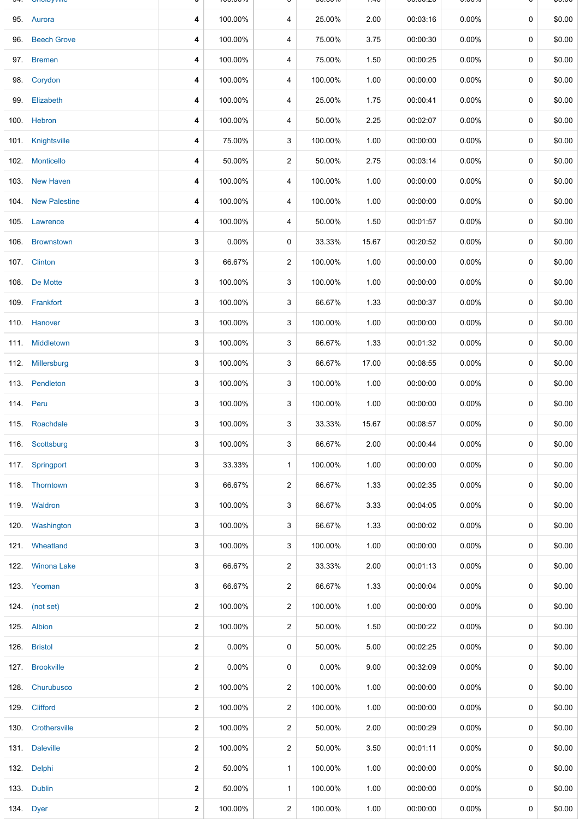|      | <b>UNDER</b> THE   |              | 100.0070 |                | <b>00.0070</b> | .70   | 00.00.ZU | <b>0.000</b> |             | vv.vv  |
|------|--------------------|--------------|----------|----------------|----------------|-------|----------|--------------|-------------|--------|
|      | 95. Aurora         | 4            | 100.00%  | 4              | 25.00%         | 2.00  | 00:03:16 | $0.00\%$     | 0           | \$0.00 |
| 96.  | <b>Beech Grove</b> | 4            | 100.00%  | 4              | 75.00%         | 3.75  | 00:00:30 | $0.00\%$     | 0           | \$0.00 |
|      | 97. Bremen         | 4            | 100.00%  | 4              | 75.00%         | 1.50  | 00:00:25 | $0.00\%$     | 0           | \$0.00 |
|      | 98. Corydon        | 4            | 100.00%  | 4              | 100.00%        | 1.00  | 00:00:00 | $0.00\%$     | 0           | \$0.00 |
|      | 99. Elizabeth      | 4            | 100.00%  | 4              | 25.00%         | 1.75  | 00:00:41 | $0.00\%$     | 0           | \$0.00 |
|      | 100. Hebron        | 4            | 100.00%  | 4              | 50.00%         | 2.25  | 00:02:07 | $0.00\%$     | 0           | \$0.00 |
|      | 101. Knightsville  | 4            | 75.00%   | 3              | 100.00%        | 1.00  | 00:00:00 | $0.00\%$     | 0           | \$0.00 |
|      | 102. Monticello    | 4            | 50.00%   | $\overline{2}$ | 50.00%         | 2.75  | 00:03:14 | $0.00\%$     | $\mathbf 0$ | \$0.00 |
|      | 103. New Haven     | 4            | 100.00%  | 4              | 100.00%        | 1.00  | 00:00:00 | $0.00\%$     | 0           | \$0.00 |
|      | 104. New Palestine | 4            | 100.00%  | 4              | 100.00%        | 1.00  | 00:00:00 | $0.00\%$     | 0           | \$0.00 |
|      | 105. Lawrence      | 4            | 100.00%  | 4              | 50.00%         | 1.50  | 00:01:57 | $0.00\%$     | 0           | \$0.00 |
|      | 106. Brownstown    | 3            | $0.00\%$ | 0              | 33.33%         | 15.67 | 00:20:52 | $0.00\%$     | $\mathbf 0$ | \$0.00 |
|      | 107. Clinton       | 3            | 66.67%   | $\overline{2}$ | 100.00%        | 1.00  | 00:00:00 | $0.00\%$     | 0           | \$0.00 |
|      | 108. De Motte      | 3            | 100.00%  | 3              | 100.00%        | 1.00  | 00:00:00 | $0.00\%$     | 0           | \$0.00 |
|      | 109. Frankfort     | 3            | 100.00%  | 3              | 66.67%         | 1.33  | 00:00:37 | $0.00\%$     | 0           | \$0.00 |
|      | 110. Hanover       | 3            | 100.00%  | 3              | 100.00%        | 1.00  | 00:00:00 | $0.00\%$     | 0           | \$0.00 |
|      | 111. Middletown    | 3            | 100.00%  | 3              | 66.67%         | 1.33  | 00:01:32 | $0.00\%$     | 0           | \$0.00 |
|      | 112. Millersburg   | 3            | 100.00%  | 3              | 66.67%         | 17.00 | 00:08:55 | $0.00\%$     | 0           | \$0.00 |
|      | 113. Pendleton     | 3            | 100.00%  | 3              | 100.00%        | 1.00  | 00:00:00 | $0.00\%$     | 0           | \$0.00 |
|      | 114. Peru          | 3            | 100.00%  | 3              | 100.00%        | 1.00  | 00:00:00 | $0.00\%$     | 0           | \$0.00 |
|      | 115. Roachdale     | 3            | 100.00%  | 3              | 33.33%         | 15.67 | 00:08:57 | $0.00\%$     | 0           | \$0.00 |
|      | 116. Scottsburg    | 3            | 100.00%  | 3              | 66.67%         | 2.00  | 00:00:44 | 0.00%        | 0           | \$0.00 |
|      | 117. Springport    | 3            | 33.33%   | $\mathbf{1}$   | 100.00%        | 1.00  | 00:00:00 | 0.00%        | 0           | \$0.00 |
|      | 118. Thorntown     | 3            | 66.67%   | $\overline{2}$ | 66.67%         | 1.33  | 00:02:35 | $0.00\%$     | 0           | \$0.00 |
|      | 119. Waldron       | 3            | 100.00%  | 3              | 66.67%         | 3.33  | 00:04:05 | $0.00\%$     | $\mathbf 0$ | \$0.00 |
|      | 120. Washington    | 3            | 100.00%  | 3              | 66.67%         | 1.33  | 00:00:02 | $0.00\%$     | 0           | \$0.00 |
|      | 121. Wheatland     | 3            | 100.00%  | 3              | 100.00%        | 1.00  | 00:00:00 | $0.00\%$     | 0           | \$0.00 |
|      | 122. Winona Lake   | 3            | 66.67%   | 2              | 33.33%         | 2.00  | 00:01:13 | $0.00\%$     | 0           | \$0.00 |
|      | 123. Yeoman        | 3            | 66.67%   | 2              | 66.67%         | 1.33  | 00:00:04 | $0.00\%$     | 0           | \$0.00 |
|      | 124. (not set)     | $\mathbf{2}$ | 100.00%  | $\overline{2}$ | 100.00%        | 1.00  | 00:00:00 | $0.00\%$     | 0           | \$0.00 |
|      | 125. Albion        | 2            | 100.00%  | 2              | 50.00%         | 1.50  | 00:00:22 | $0.00\%$     | 0           | \$0.00 |
|      | 126. Bristol       | 2            | $0.00\%$ | 0              | 50.00%         | 5.00  | 00:02:25 | $0.00\%$     | 0           | \$0.00 |
|      | 127. Brookville    | 2            | 0.00%    | 0              | $0.00\%$       | 9.00  | 00:32:09 | $0.00\%$     | 0           | \$0.00 |
| 128. | Churubusco         | 2            | 100.00%  | $\overline{2}$ | 100.00%        | 1.00  | 00:00:00 | 0.00%        | 0           | \$0.00 |
|      | 129. Clifford      | 2            | 100.00%  | 2              | 100.00%        | 1.00  | 00:00:00 | $0.00\%$     | 0           | \$0.00 |
|      | 130. Crothersville | 2            | 100.00%  | 2              | 50.00%         | 2.00  | 00:00:29 | $0.00\%$     | 0           | \$0.00 |
|      | 131. Daleville     | 2            | 100.00%  | 2              | 50.00%         | 3.50  | 00:01:11 | $0.00\%$     | 0           | \$0.00 |
|      | 132. Delphi        | 2            | 50.00%   | $\mathbf{1}$   | 100.00%        | 1.00  | 00:00:00 | 0.00%        | 0           | \$0.00 |
|      | 133. Dublin        | $\mathbf 2$  | 50.00%   | $\mathbf{1}$   | 100.00%        | 1.00  | 00:00:00 | $0.00\%$     | 0           | \$0.00 |
|      | 134. Dyer          | 2            | 100.00%  | $\overline{2}$ | 100.00%        | 1.00  | 00:00:00 | 0.00%        | 0           | \$0.00 |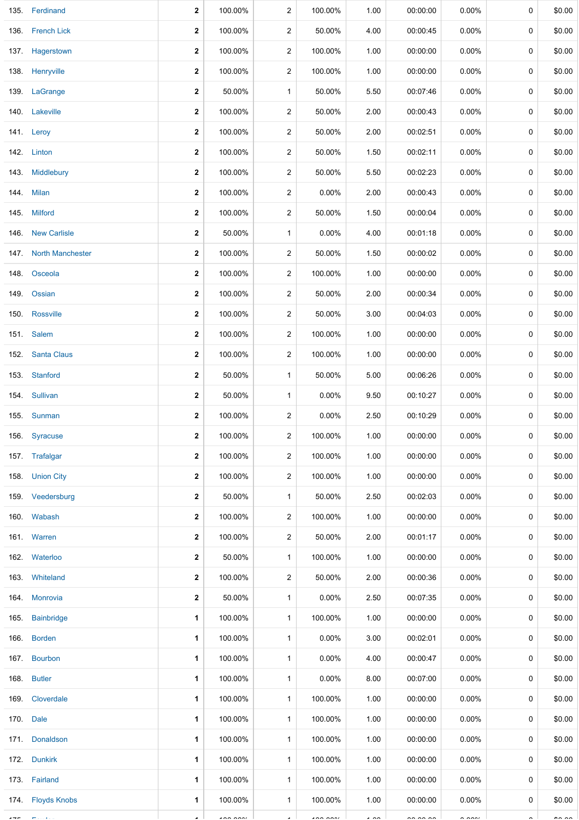|         | 135. Ferdinand        | $\mathbf{2}$ | 100.00%       | $\overline{2}$ | 100.00%                  | 1.00           | 00:00:00  | $0.00\%$             | 0           | \$0.00        |
|---------|-----------------------|--------------|---------------|----------------|--------------------------|----------------|-----------|----------------------|-------------|---------------|
|         | 136. French Lick      | 2            | 100.00%       | $\overline{c}$ | 50.00%                   | 4.00           | 00:00:45  | $0.00\%$             | 0           | \$0.00        |
|         | 137. Hagerstown       | $\mathbf{2}$ | 100.00%       | $\overline{c}$ | 100.00%                  | 1.00           | 00:00:00  | $0.00\%$             | 0           | \$0.00        |
|         | 138. Henryville       | 2            | 100.00%       | $\overline{c}$ | 100.00%                  | 1.00           | 00:00:00  | $0.00\%$             | 0           | \$0.00        |
|         | 139. LaGrange         | 2            | 50.00%        | $\mathbf{1}$   | 50.00%                   | 5.50           | 00:07:46  | $0.00\%$             | 0           | \$0.00        |
|         | 140. Lakeville        | 2            | 100.00%       | $\overline{c}$ | 50.00%                   | 2.00           | 00:00:43  | $0.00\%$             | 0           | \$0.00        |
|         | 141. Leroy            | 2            | 100.00%       | 2              | 50.00%                   | 2.00           | 00:02:51  | $0.00\%$             | 0           | \$0.00        |
|         | 142. Linton           | 2            | 100.00%       | $\overline{c}$ | 50.00%                   | 1.50           | 00:02:11  | $0.00\%$             | 0           | \$0.00        |
|         | 143. Middlebury       | 2            | 100.00%       | $\overline{c}$ | 50.00%                   | 5.50           | 00:02:23  | $0.00\%$             | $\mathbf 0$ | \$0.00        |
|         | 144. Milan            | $\mathbf{2}$ | 100.00%       | $\overline{c}$ | 0.00%                    | 2.00           | 00:00:43  | $0.00\%$             | 0           | \$0.00        |
|         | 145. Milford          | 2            | 100.00%       | $\overline{c}$ | 50.00%                   | 1.50           | 00:00:04  | 0.00%                | 0           | \$0.00        |
|         | 146 New Carlisle      | 2            | 50.00%        | $\mathbf{1}$   | 0.00%                    | 4.00           | 00:01:18  | $0.00\%$             | 0           | \$0.00        |
|         | 147. North Manchester | 2            | 100.00%       | $\overline{c}$ | 50.00%                   | 1.50           | 00:00:02  | 0.00%                | 0           | \$0.00        |
| 148.    | Osceola               | $\mathbf{2}$ | 100.00%       | $\overline{c}$ | 100.00%                  | 1.00           | 00:00:00  | $0.00\%$             | 0           | \$0.00        |
| 149.    | Ossian                | 2            | 100.00%       | $\overline{c}$ | 50.00%                   | 2.00           | 00:00:34  | 0.00%                | 0           | \$0.00        |
| 150.    | Rossville             | $\mathbf{2}$ | 100.00%       | $\overline{c}$ | 50.00%                   | 3.00           | 00:04:03  | $0.00\%$             | 0           | \$0.00        |
|         | 151. Salem            | 2            | 100.00%       | $\overline{c}$ | 100.00%                  | 1.00           | 00:00:00  | $0.00\%$             | 0           | \$0.00        |
| 152.    | <b>Santa Claus</b>    | $\mathbf{2}$ | 100.00%       | $\overline{c}$ | 100.00%                  | 1.00           | 00:00:00  | $0.00\%$             | 0           | \$0.00        |
| 153.    | Stanford              | 2            | 50.00%        | $\mathbf{1}$   | 50.00%                   | 5.00           | 00:06:26  | 0.00%                | 0           | \$0.00        |
|         | 154. Sullivan         | 2            | 50.00%        | $\mathbf{1}$   | 0.00%                    | 9.50           | 00:10:27  | 0.00%                | 0           | \$0.00        |
|         | 155. Sunman           | 2            | 100.00%       | 2              | 0.00%                    | 2.50           | 00:10:29  | 0.00%                | 0           | \$0.00        |
|         | 156. Syracuse         | $\mathbf{2}$ | 100.00%       | $\overline{2}$ | 100.00%                  | 1.00           | 00:00:00  | 0.00%                | 0           | \$0.00        |
|         | 157. Trafalgar        | $\mathbf{2}$ | 100.00%       | $\overline{2}$ | 100.00%                  | 1.00           | 00:00:00  | $0.00\%$             | 0           | \$0.00        |
|         | 158. Union City       | $\mathbf{2}$ | 100.00%       | $\overline{2}$ | 100.00%                  | 1.00           | 00:00:00  | $0.00\%$             | 0           | \$0.00        |
|         | 159. Veedersburg      | $\mathbf{2}$ | 50.00%        | $\mathbf{1}$   | 50.00%                   | 2.50           | 00:02:03  | $0.00\%$             | 0           | \$0.00        |
|         | 160. Wabash           | 2            | 100.00%       | 2              | 100.00%                  | 1.00           | 00:00:00  | $0.00\%$             | 0           | \$0.00        |
|         | 161. Warren           | $\mathbf{2}$ | 100.00%       | $\overline{2}$ | 50.00%                   | 2.00           | 00:01:17  | $0.00\%$             | 0           | \$0.00        |
|         | 162. Waterloo         | 2            | 50.00%        | $\mathbf{1}$   | 100.00%                  | 1.00           | 00:00:00  | $0.00\%$             | 0           | \$0.00        |
|         | 163. Whiteland        | $\mathbf{2}$ | 100.00%       | $\overline{2}$ | 50.00%                   | 2.00           | 00:00:36  | $0.00\%$             | 0           | \$0.00        |
|         | 164. Monrovia         | 2            | 50.00%        | $\mathbf{1}$   | 0.00%                    | 2.50           | 00:07:35  | $0.00\%$             | 0           | \$0.00        |
|         | 165. Bainbridge       | 1            | 100.00%       | $\mathbf{1}$   | 100.00%                  | 1.00           | 00:00:00  | $0.00\%$             | 0           | \$0.00        |
|         | 166. Borden           | 1            | 100.00%       | $\mathbf{1}$   | 0.00%                    | 3.00           | 00:02:01  | $0.00\%$             | 0           | \$0.00        |
|         | 167. Bourbon          | 1            | 100.00%       | $\mathbf{1}$   | 0.00%                    | 4.00           | 00:00:47  | $0.00\%$             | 0           | \$0.00        |
|         | 168. Butler           | 1            | 100.00%       | $\mathbf{1}$   | 0.00%                    | 8.00           | 00:07:00  | $0.00\%$             | 0           | \$0.00        |
|         | 169. Cloverdale       | 1            | 100.00%       | $\mathbf{1}$   | 100.00%                  | 1.00           | 00:00:00  | $0.00\%$             | 0           | \$0.00        |
|         | 170. Dale             | 1            | 100.00%       | $\mathbf{1}$   | 100.00%                  | 1.00           | 00:00:00  | $0.00\%$             | 0           | \$0.00        |
|         | 171. Donaldson        | 1            | 100.00%       | $\mathbf{1}$   | 100.00%                  | 1.00           | 00:00:00  | $0.00\%$             | 0           | \$0.00        |
|         | 172. Dunkirk          | 1            | 100.00%       | $\mathbf{1}$   | 100.00%                  | 1.00           | 00:00:00  | $0.00\%$             | 0           | \$0.00        |
|         | 173. Fairland         | 1            | 100.00%       | $\mathbf{1}$   | 100.00%                  | 1.00           | 00:00:00  | $0.00\%$             | $\mathbf 0$ | \$0.00        |
|         | 174. Floyds Knobs     | 1            | 100.00%       | $\mathbf{1}$   | 100.00%                  | 1.00           | 00:00:00  | $0.00\%$             | 0           | \$0.00        |
| $- - -$ |                       |              | $\frac{1}{2}$ |                | $\overline{\phantom{a}}$ | $\cdot$ $\sim$ | $-0.0000$ | $\sim$ $\sim$ $\sim$ |             | $\sim$ $\sim$ |